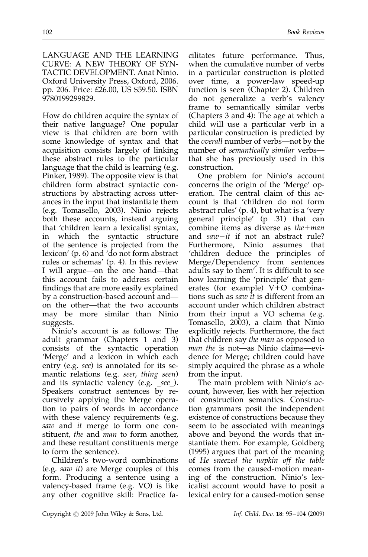LANGUAGE AND THE LEARNING CURVE: A NEW THEORY OF SYN-TACTIC DEVELOPMENT. Anat Ninio.

Oxford University Press, Oxford, 2006. pp. 206. Price: £26.00, US \$59.50. ISBN 9780199299829.

How do children acquire the syntax of their native language? One popular view is that children are born with some knowledge of syntax and that acquisition consists largely of linking these abstract rules to the particular language that the child is learning (e.g. Pinker, 1989). The opposite view is that children form abstract syntactic constructions by abstracting across utterances in the input that instantiate them (e.g. Tomasello, 2003). Ninio rejects both these accounts, instead arguing that 'children learn a lexicalist syntax, in which the syntactic structure of the sentence is projected from the lexicon' (p. 6) and 'do not form abstract rules or schemas' (p. 4). In this review I will argue—on the one hand—that this account fails to address certain findings that are more easily explained by a construction-based account and on the other—that the two accounts may be more similar than Ninio suggests.

Ninio's account is as follows: The adult grammar (Chapters 1 and 3) consists of the syntactic operation 'Merge' and a lexicon in which each entry (e.g. see) is annotated for its semantic relations (e.g. seer, thing seen) and its syntactic valency (e.g. \_see\_). Speakers construct sentences by recursively applying the Merge operation to pairs of words in accordance with these valency requirements (e.g. saw and it merge to form one constituent, the and man to form another, and these resultant constituents merge to form the sentence).

Children's two-word combinations (e.g. saw it) are Merge couples of this form. Producing a sentence using a valency-based frame (e.g. VO) is like any other cognitive skill: Practice fa-

cilitates future performance. Thus, when the cumulative number of verbs in a particular construction is plotted over time, a power-law speed-up function is seen (Chapter 2). Children do not generalize a verb's valency frame to semantically similar verbs (Chapters 3 and 4): The age at which a child will use a particular verb in a particular construction is predicted by the overall number of verbs—not by the number of semantically similar verbs that she has previously used in this construction.

One problem for Ninio's account concerns the origin of the 'Merge' operation. The central claim of this account is that 'children do not form abstract rules' (p. 4), but what is a 'very general principle' (p .31) that can combine items as diverse as  $the + man$ and  $saw+it$  if not an abstract rule? Furthermore, Ninio assumes that 'children deduce the principles of Merge/Dependency from sentences adults say to them'. It is difficult to see how learning the 'principle' that generates (for example)  $V+O$  combinations such as saw it is different from an account under which children abstract from their input a VO schema (e.g. Tomasello, 2003), a claim that Ninio explicitly rejects. Furthermore, the fact that children say the man as opposed to man the is not—as Ninio claims—evidence for Merge; children could have simply acquired the phrase as a whole from the input.

The main problem with Ninio's account, however, lies with her rejection of construction semantics. Construction grammars posit the independent existence of constructions because they seem to be associated with meanings above and beyond the words that instantiate them. For example, Goldberg (1995) argues that part of the meaning of He sneezed the napkin off the table comes from the caused-motion meaning of the construction. Ninio's lexicalist account would have to posit a lexical entry for a caused-motion sense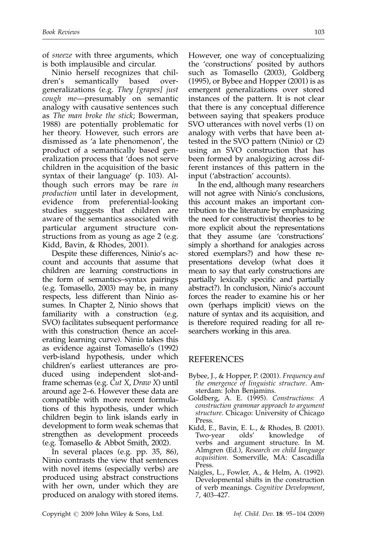of sneeze with three arguments, which is both implausible and circular.

Ninio herself recognizes that children's semantically based overgeneralizations (e.g. They [grapes] just cough me-presumably on semantic analogy with causative sentences such as The man broke the stick; Bowerman, 1988) are potentially problematic for her theory. However, such errors are dismissed as 'a late phenomenon', the product of a semantically based generalization process that 'does not serve children in the acquisition of the basic syntax of their language' (p. 103). Although such errors may be rare in production until later in development, evidence from preferential-looking studies suggests that children are aware of the semantics associated with particular argument structure constructions from as young as age 2 (e.g. Kidd, Bavin, & Rhodes, 2001).

Despite these differences, Ninio's account and accounts that assume that children are learning constructions in the form of semantics–syntax pairings (e.g. Tomasello, 2003) may be, in many respects, less different than Ninio assumes. In Chapter 2, Ninio shows that familiarity with a construction (e.g. SVO) facilitates subsequent performance with this construction (hence an accelerating learning curve). Ninio takes this as evidence against Tomasello's (1992) verb-island hypothesis, under which children's earliest utterances are produced using independent slot-andframe schemas (e.g. Cut X, Draw X) until around age 2–6. However these data are compatible with more recent formulations of this hypothesis, under which children begin to link islands early in development to form weak schemas that strengthen as development proceeds (e.g. Tomasello & Abbot Smith, 2002).

In several places (e.g. pp. 35, 86), Ninio contrasts the view that sentences with novel items (especially verbs) are produced using abstract constructions with her own, under which they are produced on analogy with stored items. However, one way of conceptualizing the 'constructions' posited by authors such as Tomasello (2003), Goldberg (1995), or Bybee and Hopper (2001) is as emergent generalizations over stored instances of the pattern. It is not clear that there is any conceptual difference between saying that speakers produce SVO utterances with novel verbs (1) on analogy with verbs that have been attested in the SVO pattern (Ninio) or (2) using an SVO construction that has been formed by analogizing across different instances of this pattern in the input ('abstraction' accounts).

In the end, although many researchers will not agree with Ninio's conclusions, this account makes an important contribution to the literature by emphasizing the need for constructivist theories to be more explicit about the representations that they assume (are 'constructions' simply a shorthand for analogies across stored exemplars?) and how these representations develop (what does it mean to say that early constructions are partially lexically specific and partially abstract?). In conclusion, Ninio's account forces the reader to examine his or her own (perhaps implicit) views on the nature of syntax and its acquisition, and is therefore required reading for all researchers working in this area.

## REFERENCES

- Bybee, J., & Hopper, P. (2001). Frequency and the emergence of linguistic structure. Amsterdam: John Benjamins.
- Goldberg, A. E. (1995). Constructions: A construction grammar approach to argument structure. Chicago: University of Chicago Press.
- Kidd, E., Bavin, E. L., & Rhodes, B. (2001). Two-year olds' knowledge of verbs and argument structure. In M. Almgren (Ed.), Research on child language acquisition. Somerville, MA: Cascadilla Press.
- Naigles, L., Fowler, A., & Helm, A. (1992). Developmental shifts in the construction of verb meanings. Cognitive Development, 7, 403–427.

Copyright © 2009 John Wiley & Sons, Ltd. Inf. Child. Dev. 18: 95–104 (2009)